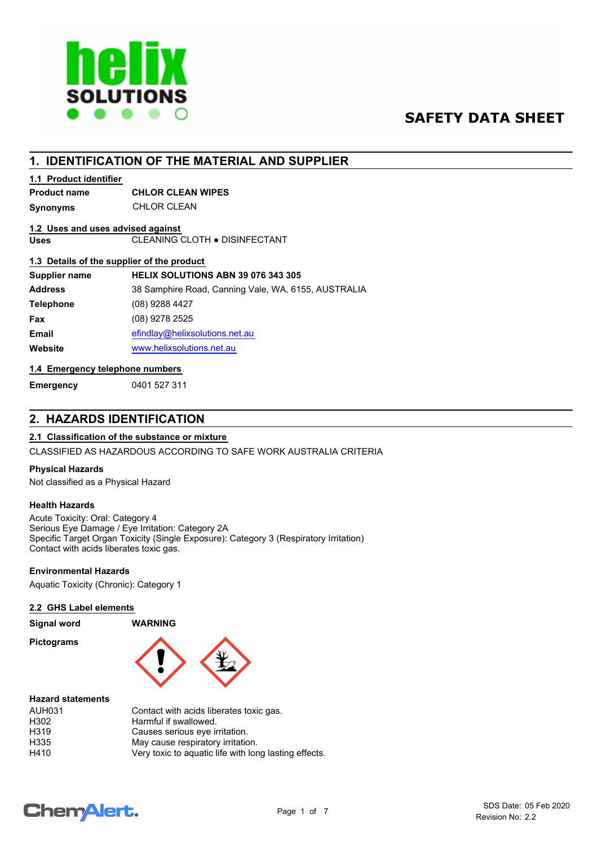

# **SAFETY DATA SHEET**

# **1. IDENTIFICATION OF THE MATERIAL AND SUPPLIER**

## **1.1 Product identifier**

# **Product name CHLOR CLEAN WIPES**

**Synonyms** CHLOR CLEAN

# **1.2 Uses and uses advised against**

**Uses** CLEANING CLOTH ● DISINFECTANT

## **1.3 Details of the supplier of the product**

| Supplier name    | HELIX SOLUTIONS ABN 39 076 343 305                  |
|------------------|-----------------------------------------------------|
| <b>Address</b>   | 38 Samphire Road, Canning Vale, WA, 6155, AUSTRALIA |
| <b>Telephone</b> | $(08)$ 9288 4427                                    |
| <b>Fax</b>       | (08) 9278 2525                                      |
| <b>Email</b>     | efindlay@helixsolutions.net.au                      |
| Website          | www.helixsolutions.net.au                           |
|                  |                                                     |

## **1.4 Emergency telephone numbers**

**Emergency** 0401 527 311

# **2. HAZARDS IDENTIFICATION**

# **2.1 Classification of the substance or mixture**

CLASSIFIED AS HAZARDOUS ACCORDING TO SAFE WORK AUSTRALIA CRITERIA

## **Physical Hazards**

Not classified as a Physical Hazard

## **Health Hazards**

Acute Toxicity: Oral: Category 4 Serious Eye Damage / Eye Irritation: Category 2A Specific Target Organ Toxicity (Single Exposure): Category 3 (Respiratory Irritation) Contact with acids liberates toxic gas.

## **Environmental Hazards**

Aquatic Toxicity (Chronic): Category 1

## **2.2 GHS Label elements**

| <b>Signal word</b> |  |
|--------------------|--|
|--------------------|--|

**Pictograms**



#### **Hazard statements**

| <b>AUH031</b> | Contact with acids liberates toxic gas.               |
|---------------|-------------------------------------------------------|
| H302          | Harmful if swallowed.                                 |
| H319          | Causes serious eye irritation.                        |
| H335          | May cause respiratory irritation.                     |
| H410          | Very toxic to aquatic life with long lasting effects. |

**Signal word WARNING**

# **ChemAlert.**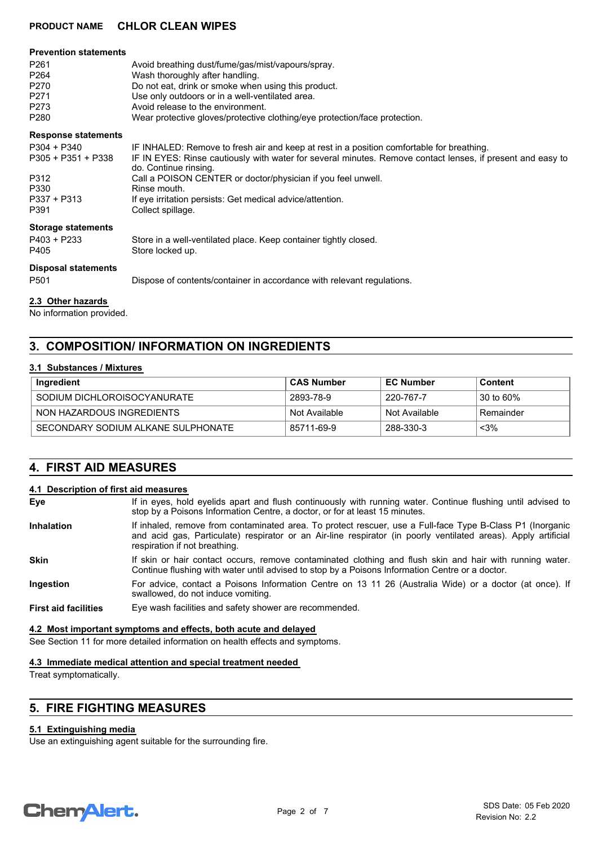| <b>Prevention statements</b><br>P <sub>261</sub><br>P <sub>264</sub><br>P270<br>P271<br>P273<br>P280     | Avoid breathing dust/fume/gas/mist/vapours/spray.<br>Wash thoroughly after handling.<br>Do not eat, drink or smoke when using this product.<br>Use only outdoors or in a well-ventilated area.<br>Avoid release to the environment.<br>Wear protective gloves/protective clothing/eye protection/face protection.                                                                                  |
|----------------------------------------------------------------------------------------------------------|----------------------------------------------------------------------------------------------------------------------------------------------------------------------------------------------------------------------------------------------------------------------------------------------------------------------------------------------------------------------------------------------------|
| <b>Response statements</b><br>P304 + P340<br>$P305 + P351 + P338$<br>P312<br>P330<br>P337 + P313<br>P391 | IF INHALED: Remove to fresh air and keep at rest in a position comfortable for breathing.<br>IF IN EYES: Rinse cautiously with water for several minutes. Remove contact lenses, if present and easy to<br>do. Continue rinsing.<br>Call a POISON CENTER or doctor/physician if you feel unwell.<br>Rinse mouth.<br>If eye irritation persists: Get medical advice/attention.<br>Collect spillage. |
| <b>Storage statements</b><br>P403 + P233<br>P405<br><b>Disposal statements</b>                           | Store in a well-ventilated place. Keep container tightly closed.<br>Store locked up.                                                                                                                                                                                                                                                                                                               |
| P501                                                                                                     | Dispose of contents/container in accordance with relevant regulations.                                                                                                                                                                                                                                                                                                                             |

# **2.3 Other hazards**

No information provided.

# **3. COMPOSITION/ INFORMATION ON INGREDIENTS**

## **3.1 Substances / Mixtures**

| Ingredient                         | ∣ CAS Number  | <b>EC Number</b> | Content   |
|------------------------------------|---------------|------------------|-----------|
| SODIUM DICHI OROISOCYANURATE       | 2893-78-9     | 220-767-7        | 30 to 60% |
| NON HAZARDOUS INGREDIENTS          | Not Available | Not Available    | Remainder |
| SECONDARY SODIUM ALKANE SULPHONATE | 85711-69-9    | 288-330-3        | $<$ 3%    |

# **4. FIRST AID MEASURES**

#### **4.1 Description of first aid measures**

| Eye                         | If in eyes, hold eyelids apart and flush continuously with running water. Continue flushing until advised to<br>stop by a Poisons Information Centre, a doctor, or for at least 15 minutes.                                                                  |
|-----------------------------|--------------------------------------------------------------------------------------------------------------------------------------------------------------------------------------------------------------------------------------------------------------|
| <b>Inhalation</b>           | If inhaled, remove from contaminated area. To protect rescuer, use a Full-face Type B-Class P1 (Inorganic<br>and acid gas, Particulate) respirator or an Air-line respirator (in poorly ventilated areas). Apply artificial<br>respiration if not breathing. |
| <b>Skin</b>                 | If skin or hair contact occurs, remove contaminated clothing and flush skin and hair with running water.<br>Continue flushing with water until advised to stop by a Poisons Information Centre or a doctor.                                                  |
| <b>Ingestion</b>            | For advice, contact a Poisons Information Centre on 13 11 26 (Australia Wide) or a doctor (at once). If<br>swallowed, do not induce vomiting.                                                                                                                |
| <b>First aid facilities</b> | Eye wash facilities and safety shower are recommended.                                                                                                                                                                                                       |

#### **4.2 Most important symptoms and effects, both acute and delayed**

See Section 11 for more detailed information on health effects and symptoms.

### **4.3 Immediate medical attention and special treatment needed**

Treat symptomatically.

# **5. FIRE FIGHTING MEASURES**

## **5.1 Extinguishing media**

Use an extinguishing agent suitable for the surrounding fire.

# **Chemalert.**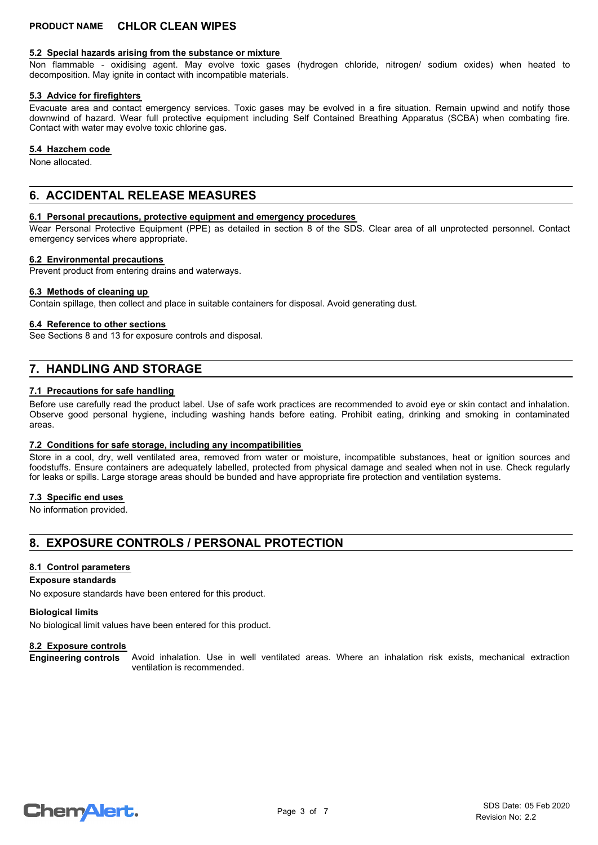#### **5.2 Special hazards arising from the substance or mixture**

Non flammable - oxidising agent. May evolve toxic gases (hydrogen chloride, nitrogen/ sodium oxides) when heated to decomposition. May ignite in contact with incompatible materials.

#### **5.3 Advice for firefighters**

Evacuate area and contact emergency services. Toxic gases may be evolved in a fire situation. Remain upwind and notify those downwind of hazard. Wear full protective equipment including Self Contained Breathing Apparatus (SCBA) when combating fire. Contact with water may evolve toxic chlorine gas.

#### **5.4 Hazchem code**

None allocated.

# **6. ACCIDENTAL RELEASE MEASURES**

#### **6.1 Personal precautions, protective equipment and emergency procedures**

Wear Personal Protective Equipment (PPE) as detailed in section 8 of the SDS. Clear area of all unprotected personnel. Contact emergency services where appropriate.

#### **6.2 Environmental precautions**

Prevent product from entering drains and waterways.

#### **6.3 Methods of cleaning up**

Contain spillage, then collect and place in suitable containers for disposal. Avoid generating dust.

#### **6.4 Reference to other sections**

See Sections 8 and 13 for exposure controls and disposal.

# **7. HANDLING AND STORAGE**

#### **7.1 Precautions for safe handling**

Before use carefully read the product label. Use of safe work practices are recommended to avoid eye or skin contact and inhalation. Observe good personal hygiene, including washing hands before eating. Prohibit eating, drinking and smoking in contaminated areas.

#### **7.2 Conditions for safe storage, including any incompatibilities**

Store in a cool, dry, well ventilated area, removed from water or moisture, incompatible substances, heat or ignition sources and foodstuffs. Ensure containers are adequately labelled, protected from physical damage and sealed when not in use. Check regularly for leaks or spills. Large storage areas should be bunded and have appropriate fire protection and ventilation systems.

#### **7.3 Specific end uses**

No information provided.

# **8. EXPOSURE CONTROLS / PERSONAL PROTECTION**

#### **8.1 Control parameters**

### **Exposure standards**

No exposure standards have been entered for this product.

#### **Biological limits**

No biological limit values have been entered for this product.

#### **8.2 Exposure controls**

Avoid inhalation. Use in well ventilated areas. Where an inhalation risk exists, mechanical extraction ventilation is recommended. **Engineering controls**

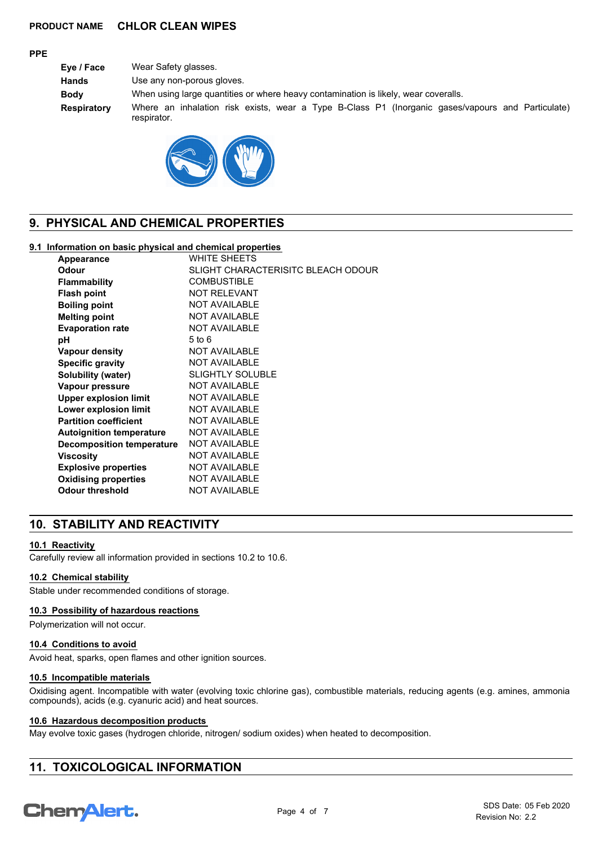## **PPE**

**Eye / Face** Wear Safety glasses. **Hands** Use any non-porous gloves. **Body** When using large quantities or where heavy contamination is likely, wear coveralls. **Respiratory** Where an inhalation risk exists, wear a Type B-Class P1 (Inorganic gases/vapours and Particulate) respirator.



# **9. PHYSICAL AND CHEMICAL PROPERTIES**

#### **9.1 Information on basic physical and chemical properties**

| <b>Appearance</b>                | <b>WHITE SHEETS</b>                |
|----------------------------------|------------------------------------|
| Odour                            | SLIGHT CHARACTERISITC BLEACH ODOUR |
| <b>Flammability</b>              | <b>COMBUSTIBLE</b>                 |
| <b>Flash point</b>               | <b>NOT RELEVANT</b>                |
| <b>Boiling point</b>             | <b>NOT AVAILABLE</b>               |
| <b>Melting point</b>             | <b>NOT AVAILABLE</b>               |
| <b>Evaporation rate</b>          | <b>NOT AVAILABLE</b>               |
| рH                               | $5$ to $6$                         |
| <b>Vapour density</b>            | <b>NOT AVAILABLE</b>               |
| <b>Specific gravity</b>          | <b>NOT AVAILABLE</b>               |
| Solubility (water)               | <b>SLIGHTLY SOLUBLE</b>            |
| Vapour pressure                  | <b>NOT AVAILABLE</b>               |
| <b>Upper explosion limit</b>     | <b>NOT AVAILABLE</b>               |
| Lower explosion limit            | <b>NOT AVAILABLE</b>               |
| <b>Partition coefficient</b>     | <b>NOT AVAILABLE</b>               |
| <b>Autoignition temperature</b>  | <b>NOT AVAILABLE</b>               |
| <b>Decomposition temperature</b> | <b>NOT AVAILABLE</b>               |
| Viscosity                        | <b>NOT AVAILABLE</b>               |
| <b>Explosive properties</b>      | NOT AVAILABLE                      |
| <b>Oxidising properties</b>      | <b>NOT AVAILABLE</b>               |
| <b>Odour threshold</b>           | <b>NOT AVAILABLE</b>               |

# **10. STABILITY AND REACTIVITY**

## **10.1 Reactivity**

Carefully review all information provided in sections 10.2 to 10.6.

## **10.2 Chemical stability**

Stable under recommended conditions of storage.

#### **10.3 Possibility of hazardous reactions**

Polymerization will not occur.

## **10.4 Conditions to avoid**

Avoid heat, sparks, open flames and other ignition sources.

#### **10.5 Incompatible materials**

Oxidising agent. Incompatible with water (evolving toxic chlorine gas), combustible materials, reducing agents (e.g. amines, ammonia compounds), acids (e.g. cyanuric acid) and heat sources.

## **10.6 Hazardous decomposition products**

May evolve toxic gases (hydrogen chloride, nitrogen/ sodium oxides) when heated to decomposition.

# **11. TOXICOLOGICAL INFORMATION**

# **ChemAlert.**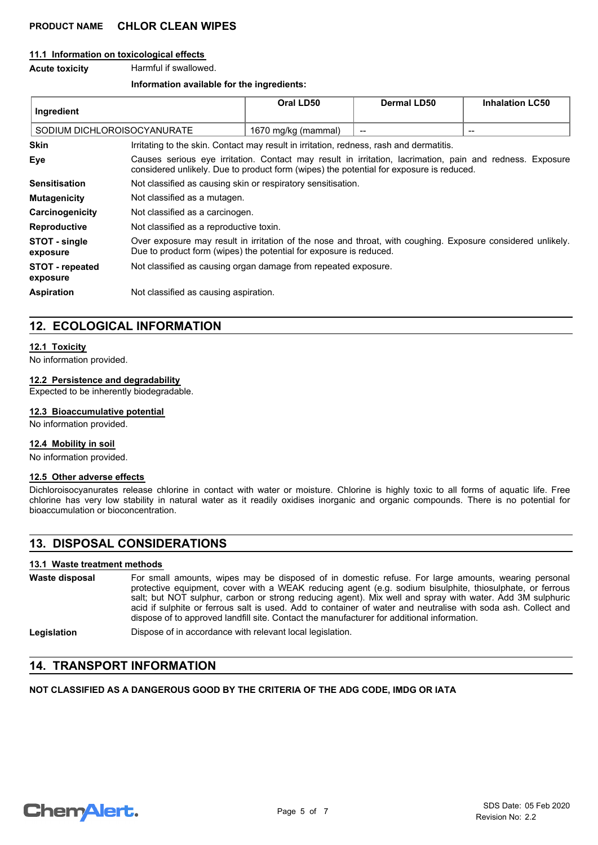#### **11.1 Information on toxicological effects**

#### **Acute toxicity** Harmful if swallowed.

#### **Information available for the ingredients:**

| Ingredient                         |                                                                                                                                                                                                     | Oral LD50           | Dermal LD50 | <b>Inhalation LC50</b> |
|------------------------------------|-----------------------------------------------------------------------------------------------------------------------------------------------------------------------------------------------------|---------------------|-------------|------------------------|
| SODIUM DICHLOROISOCYANURATE        |                                                                                                                                                                                                     | 1670 mg/kg (mammal) |             | $\qquad \qquad$        |
| <b>Skin</b>                        | Irritating to the skin. Contact may result in irritation, redness, rash and dermatitis.                                                                                                             |                     |             |                        |
| Eye                                | Causes serious eye irritation. Contact may result in irritation, lacrimation, pain and redness. Exposure<br>considered unlikely. Due to product form (wipes) the potential for exposure is reduced. |                     |             |                        |
| <b>Sensitisation</b>               | Not classified as causing skin or respiratory sensitisation.                                                                                                                                        |                     |             |                        |
| <b>Mutagenicity</b>                | Not classified as a mutagen.                                                                                                                                                                        |                     |             |                        |
| Carcinogenicity                    | Not classified as a carcinogen.                                                                                                                                                                     |                     |             |                        |
| <b>Reproductive</b>                | Not classified as a reproductive toxin.                                                                                                                                                             |                     |             |                        |
| STOT - single<br>exposure          | Over exposure may result in irritation of the nose and throat, with coughing. Exposure considered unlikely.<br>Due to product form (wipes) the potential for exposure is reduced.                   |                     |             |                        |
| <b>STOT</b> - repeated<br>exposure | Not classified as causing organ damage from repeated exposure.                                                                                                                                      |                     |             |                        |
| <b>Aspiration</b>                  | Not classified as causing aspiration.                                                                                                                                                               |                     |             |                        |

# **12. ECOLOGICAL INFORMATION**

#### **12.1 Toxicity**

No information provided.

#### **12.2 Persistence and degradability**

Expected to be inherently biodegradable.

### **12.3 Bioaccumulative potential**

No information provided.

#### **12.4 Mobility in soil**

No information provided.

#### **12.5 Other adverse effects**

Dichloroisocyanurates release chlorine in contact with water or moisture. Chlorine is highly toxic to all forms of aquatic life. Free chlorine has very low stability in natural water as it readily oxidises inorganic and organic compounds. There is no potential for bioaccumulation or bioconcentration.

# **13. DISPOSAL CONSIDERATIONS**

#### **13.1 Waste treatment methods**

| Waste disposal | For small amounts, wipes may be disposed of in domestic refuse. For large amounts, wearing personal<br>protective equipment, cover with a WEAK reducing agent (e.g. sodium bisulphite, thiosulphate, or ferrous<br>salt; but NOT sulphur, carbon or strong reducing agent). Mix well and spray with water. Add 3M sulphuric<br>acid if sulphite or ferrous salt is used. Add to container of water and neutralise with soda ash. Collect and<br>dispose of to approved landfill site. Contact the manufacturer for additional information. |
|----------------|--------------------------------------------------------------------------------------------------------------------------------------------------------------------------------------------------------------------------------------------------------------------------------------------------------------------------------------------------------------------------------------------------------------------------------------------------------------------------------------------------------------------------------------------|
| Legislation    | Dispose of in accordance with relevant local legislation.                                                                                                                                                                                                                                                                                                                                                                                                                                                                                  |

# **14. TRANSPORT INFORMATION**

**NOT CLASSIFIED AS A DANGEROUS GOOD BY THE CRITERIA OF THE ADG CODE, IMDG OR IATA**

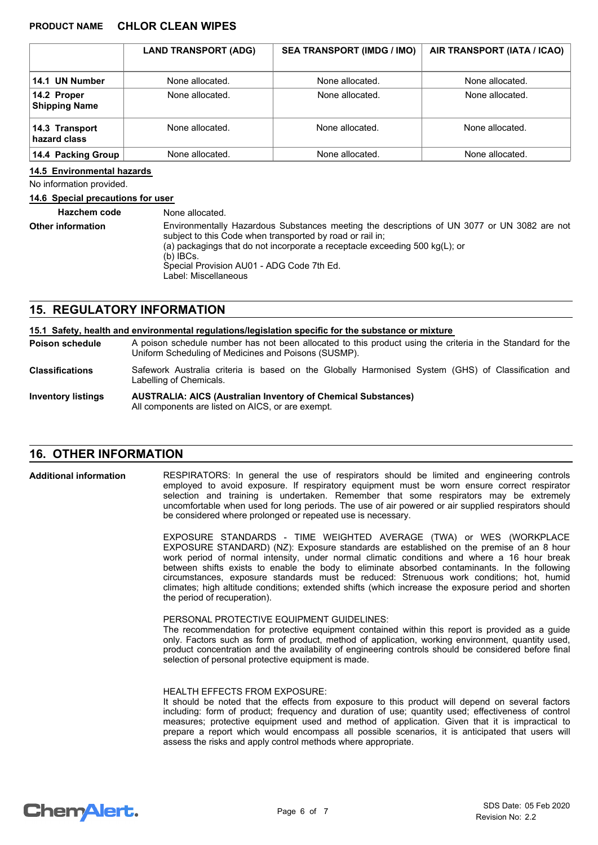|                                     | <b>LAND TRANSPORT (ADG)</b> | <b>SEA TRANSPORT (IMDG / IMO)</b> | AIR TRANSPORT (IATA / ICAO) |
|-------------------------------------|-----------------------------|-----------------------------------|-----------------------------|
| 14.1 UN Number                      | None allocated.             | None allocated.                   | None allocated.             |
| 14.2 Proper<br><b>Shipping Name</b> | None allocated.             | None allocated.                   | None allocated.             |
| 14.3 Transport<br>hazard class      | None allocated.             | None allocated.                   | None allocated.             |
| 14.4 Packing Group                  | None allocated.             | None allocated.                   | None allocated.             |

#### **14.5 Environmental hazards**

No information provided.

#### **14.6 Special precautions for user**

| <b>Hazchem code</b>      | None allocated.                                                                                                                                                                                                                                                                                                             |
|--------------------------|-----------------------------------------------------------------------------------------------------------------------------------------------------------------------------------------------------------------------------------------------------------------------------------------------------------------------------|
| <b>Other information</b> | Environmentally Hazardous Substances meeting the descriptions of UN 3077 or UN 3082 are not<br>subject to this Code when transported by road or rail in:<br>(a) packagings that do not incorporate a receptacle exceeding 500 kg(L); or<br>$(b)$ IBCs.<br>Special Provision AU01 - ADG Code 7th Ed.<br>Label: Miscellaneous |

# **15. REGULATORY INFORMATION**

|                           | 15.1 Safety, health and environmental regulations/legislation specific for the substance or mixture                                                                |
|---------------------------|--------------------------------------------------------------------------------------------------------------------------------------------------------------------|
| <b>Poison schedule</b>    | A poison schedule number has not been allocated to this product using the criteria in the Standard for the<br>Uniform Scheduling of Medicines and Poisons (SUSMP). |
| <b>Classifications</b>    | Safework Australia criteria is based on the Globally Harmonised System (GHS) of Classification and<br>Labelling of Chemicals.                                      |
| <b>Inventory listings</b> | <b>AUSTRALIA: AICS (Australian Inventory of Chemical Substances)</b><br>All components are listed on AICS, or are exempt.                                          |

# **16. OTHER INFORMATION**

RESPIRATORS: In general the use of respirators should be limited and engineering controls employed to avoid exposure. If respiratory equipment must be worn ensure correct respirator selection and training is undertaken. Remember that some respirators may be extremely uncomfortable when used for long periods. The use of air powered or air supplied respirators should be considered where prolonged or repeated use is necessary. **Additional information**

> EXPOSURE STANDARDS - TIME WEIGHTED AVERAGE (TWA) or WES (WORKPLACE EXPOSURE STANDARD) (NZ): Exposure standards are established on the premise of an 8 hour work period of normal intensity, under normal climatic conditions and where a 16 hour break between shifts exists to enable the body to eliminate absorbed contaminants. In the following circumstances, exposure standards must be reduced: Strenuous work conditions; hot, humid climates; high altitude conditions; extended shifts (which increase the exposure period and shorten the period of recuperation).

#### PERSONAL PROTECTIVE EQUIPMENT GUIDELINES:

The recommendation for protective equipment contained within this report is provided as a guide only. Factors such as form of product, method of application, working environment, quantity used, product concentration and the availability of engineering controls should be considered before final selection of personal protective equipment is made.

#### HEALTH EFFECTS FROM EXPOSURE:

It should be noted that the effects from exposure to this product will depend on several factors including: form of product; frequency and duration of use; quantity used; effectiveness of control measures; protective equipment used and method of application. Given that it is impractical to prepare a report which would encompass all possible scenarios, it is anticipated that users will assess the risks and apply control methods where appropriate.

# **ChemAlert.**